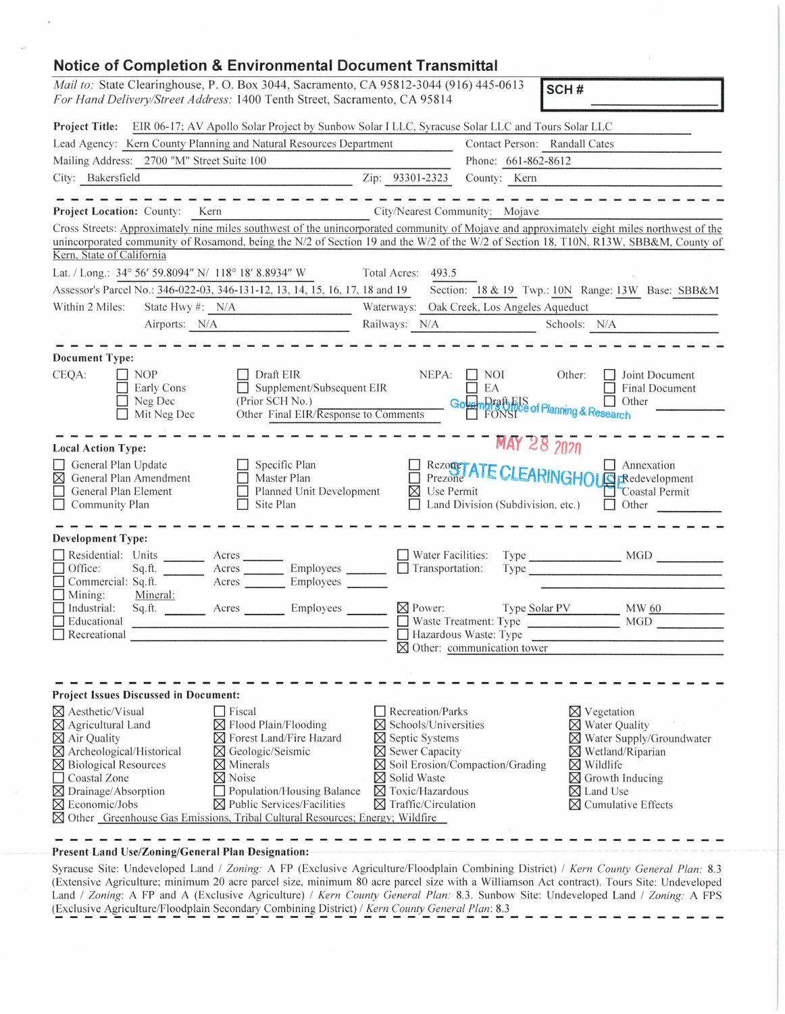| <b>Notice of Completion &amp; Environmental Document Transmittal</b>                                                                                                                                                                                                                                                                                                                                                                                                                                                                                            |                                                                                                                                                                                                                                                                                                                                                                                                                                                                      |  |  |  |  |
|-----------------------------------------------------------------------------------------------------------------------------------------------------------------------------------------------------------------------------------------------------------------------------------------------------------------------------------------------------------------------------------------------------------------------------------------------------------------------------------------------------------------------------------------------------------------|----------------------------------------------------------------------------------------------------------------------------------------------------------------------------------------------------------------------------------------------------------------------------------------------------------------------------------------------------------------------------------------------------------------------------------------------------------------------|--|--|--|--|
| Mail to: State Clearinghouse, P. O. Box 3044, Sacramento, CA 95812-3044 (916) 445-0613<br>SCH#                                                                                                                                                                                                                                                                                                                                                                                                                                                                  |                                                                                                                                                                                                                                                                                                                                                                                                                                                                      |  |  |  |  |
| For Hand Delivery/Street Address: 1400 Tenth Street, Sacramento, CA 95814                                                                                                                                                                                                                                                                                                                                                                                                                                                                                       |                                                                                                                                                                                                                                                                                                                                                                                                                                                                      |  |  |  |  |
| Project Title: EIR 06-17; AV Apollo Solar Project by Sunbow Solar I LLC, Syracuse Solar LLC and Tours Solar LLC                                                                                                                                                                                                                                                                                                                                                                                                                                                 |                                                                                                                                                                                                                                                                                                                                                                                                                                                                      |  |  |  |  |
| Lead Agency: Kern County Planning and Natural Resources Department                                                                                                                                                                                                                                                                                                                                                                                                                                                                                              | Contact Person: Randall Cates                                                                                                                                                                                                                                                                                                                                                                                                                                        |  |  |  |  |
| Mailing Address: 2700 "M" Street Suite 100                                                                                                                                                                                                                                                                                                                                                                                                                                                                                                                      | Phone: 661-862-8612                                                                                                                                                                                                                                                                                                                                                                                                                                                  |  |  |  |  |
| City: Bakersfield                                                                                                                                                                                                                                                                                                                                                                                                                                                                                                                                               | Zip: 93301-2323<br>County: Kern                                                                                                                                                                                                                                                                                                                                                                                                                                      |  |  |  |  |
|                                                                                                                                                                                                                                                                                                                                                                                                                                                                                                                                                                 |                                                                                                                                                                                                                                                                                                                                                                                                                                                                      |  |  |  |  |
| Project Location: County: Kern                                                                                                                                                                                                                                                                                                                                                                                                                                                                                                                                  | City/Nearest Community: Mojave                                                                                                                                                                                                                                                                                                                                                                                                                                       |  |  |  |  |
| Kern, State of California                                                                                                                                                                                                                                                                                                                                                                                                                                                                                                                                       | Cross Streets: Approximately nine miles southwest of the unincorporated community of Mojave and approximately eight miles northwest of the<br>unincorporated community of Rosamond, being the N/2 of Section 19 and the W/2 of the W/2 of Section 18, T10N, R13W, SBB&M, County of                                                                                                                                                                                   |  |  |  |  |
| Lat. / Long.: 34° 56' 59.8094" N/ 118° 18' 8.8934" W                                                                                                                                                                                                                                                                                                                                                                                                                                                                                                            | Total Acres:<br>493.5                                                                                                                                                                                                                                                                                                                                                                                                                                                |  |  |  |  |
| Assessor's Parcel No.: 346-022-03, 346-131-12, 13, 14, 15, 16, 17, 18 and 19                                                                                                                                                                                                                                                                                                                                                                                                                                                                                    | Section: 18 & 19 Twp.: 10N Range: 13W Base: SBB&M                                                                                                                                                                                                                                                                                                                                                                                                                    |  |  |  |  |
| State Hwy #: N/A<br>Within 2 Miles:                                                                                                                                                                                                                                                                                                                                                                                                                                                                                                                             | Waterways: Oak Creek, Los Angeles Aqueduct                                                                                                                                                                                                                                                                                                                                                                                                                           |  |  |  |  |
| Airports: N/A                                                                                                                                                                                                                                                                                                                                                                                                                                                                                                                                                   | Railways: N/A<br>Schools: N/A                                                                                                                                                                                                                                                                                                                                                                                                                                        |  |  |  |  |
|                                                                                                                                                                                                                                                                                                                                                                                                                                                                                                                                                                 |                                                                                                                                                                                                                                                                                                                                                                                                                                                                      |  |  |  |  |
| <b>Document Type:</b>                                                                                                                                                                                                                                                                                                                                                                                                                                                                                                                                           |                                                                                                                                                                                                                                                                                                                                                                                                                                                                      |  |  |  |  |
| CEQA:<br><b>NOP</b><br>Draft EIR<br>$\Box$ Supplement/Subsequent EIR<br>Early Cons<br>Neg Dec<br>(Prior SCH No.)<br>Other Final EIR/Response to Comments<br>Mit Neg Dec                                                                                                                                                                                                                                                                                                                                                                                         | NEPA:<br><b>NOI</b><br>Other:<br>Joint Document<br>EA<br>Final Document<br>Governors the IS<br>FONSI <sup>Ce</sup> of Planning & Research<br>Other                                                                                                                                                                                                                                                                                                                   |  |  |  |  |
|                                                                                                                                                                                                                                                                                                                                                                                                                                                                                                                                                                 |                                                                                                                                                                                                                                                                                                                                                                                                                                                                      |  |  |  |  |
| <b>Local Action Type:</b><br>General Plan Update<br>Specific Plan<br>$\boxtimes$<br>General Plan Amendment<br>Master Plan<br>General Plan Element<br>Planned Unit Development<br>Community Plan<br>Site Plan                                                                                                                                                                                                                                                                                                                                                    | MAY 28 2020<br>Rezoger ATE CLEARINGHOUS Redevelopment<br>$\boxtimes$ Use Permit<br>Coastal Permit<br>Land Division (Subdivision, etc.)<br>$\Box$ Other                                                                                                                                                                                                                                                                                                               |  |  |  |  |
| <b>Development Type:</b>                                                                                                                                                                                                                                                                                                                                                                                                                                                                                                                                        |                                                                                                                                                                                                                                                                                                                                                                                                                                                                      |  |  |  |  |
| Residential: Units<br>Office:<br>Sq.ft.<br>Acres Employees<br>$\Box$ Commercial: Sq.ft.                                                                                                                                                                                                                                                                                                                                                                                                                                                                         | $\Box$ Water Facilities:<br>$Type$ $MGD$<br>Transportation:<br>Type Type                                                                                                                                                                                                                                                                                                                                                                                             |  |  |  |  |
| $\Box$ Mining:<br>Mineral:<br>Acres Employees<br>Industrial:<br>Sq.ft.<br>Educational<br>$\Box$ Recreational                                                                                                                                                                                                                                                                                                                                                                                                                                                    | $\boxtimes$ Power:<br>Type Solar PV<br>MW 60<br>Waste Treatment: Type<br><b>MGD</b><br>Hazardous Waste: Type<br>$\boxtimes$ Other: communication tower                                                                                                                                                                                                                                                                                                               |  |  |  |  |
|                                                                                                                                                                                                                                                                                                                                                                                                                                                                                                                                                                 |                                                                                                                                                                                                                                                                                                                                                                                                                                                                      |  |  |  |  |
|                                                                                                                                                                                                                                                                                                                                                                                                                                                                                                                                                                 |                                                                                                                                                                                                                                                                                                                                                                                                                                                                      |  |  |  |  |
| <b>Project Issues Discussed in Document:</b>                                                                                                                                                                                                                                                                                                                                                                                                                                                                                                                    |                                                                                                                                                                                                                                                                                                                                                                                                                                                                      |  |  |  |  |
| ⊠ Aesthetic/Visual<br><b>Fiscal</b><br>$\boxtimes$ Flood Plain/Flooding<br>$\boxtimes$ Agricultural Land<br>⊠ Air Quality<br>$\boxtimes$ Forest Land/Fire Hazard<br>$\boxtimes$ Archeological/Historical<br>⊠ Geologic/Seismic<br>$\boxtimes$ Biological Resources<br>$\boxtimes$ Minerals<br>$\times$ Noise<br>Coastal Zone<br>$\boxtimes$ Drainage/Absorption<br>Population/Housing Balance<br>$\boxtimes$ Public Services/Facilities<br>$\boxtimes$ Economic/Jobs<br>$\boxtimes$ Other Greenhouse Gas Emissions, Tribal Cultural Resources; Energy; Wildfire | Recreation/Parks<br>$\boxtimes$ Vegetation<br>$\boxtimes$ Schools/Universities<br>$\boxtimes$ Water Quality<br>$\boxtimes$ Septic Systems<br>$\boxtimes$ Water Supply/Groundwater<br>⊠ Sewer Capacity<br>Wetland/Riparian<br>$\bowtie$<br>⊠ Soil Erosion/Compaction/Grading<br>⊠<br>Wildlife<br>⊠ Solid Waste<br>$\boxtimes$<br>Growth Inducing<br>$\boxtimes$ Toxic/Hazardous<br>$\boxtimes$ Land Use<br>$\boxtimes$ Traffic/Circulation<br>Cumulative Effects<br>⋈ |  |  |  |  |

## **Present Land Use/Zoning/General Plan Designation:**

Syracuse Site: Undeveloped Land / *Zoning:* A FP (Exclusive Agriculture/Floodplain Combining District) / *Kern County General Plan:* 8.3 (Extensive Agriculture; minimum 20 acre parcel size, minimum 80 acre parcel size with a Williamson Act contract). Tours Site: Undeveloped Land / Zoning: A FP and A (Exclusive Agriculture) / Kern County General Plan: 8.3. Sunbow Site: Undeveloped Land / Zoning: A FPS<br>(Exclusive Agriculture/Floodplain Secondary Combining District) / Kern County General Plan: 8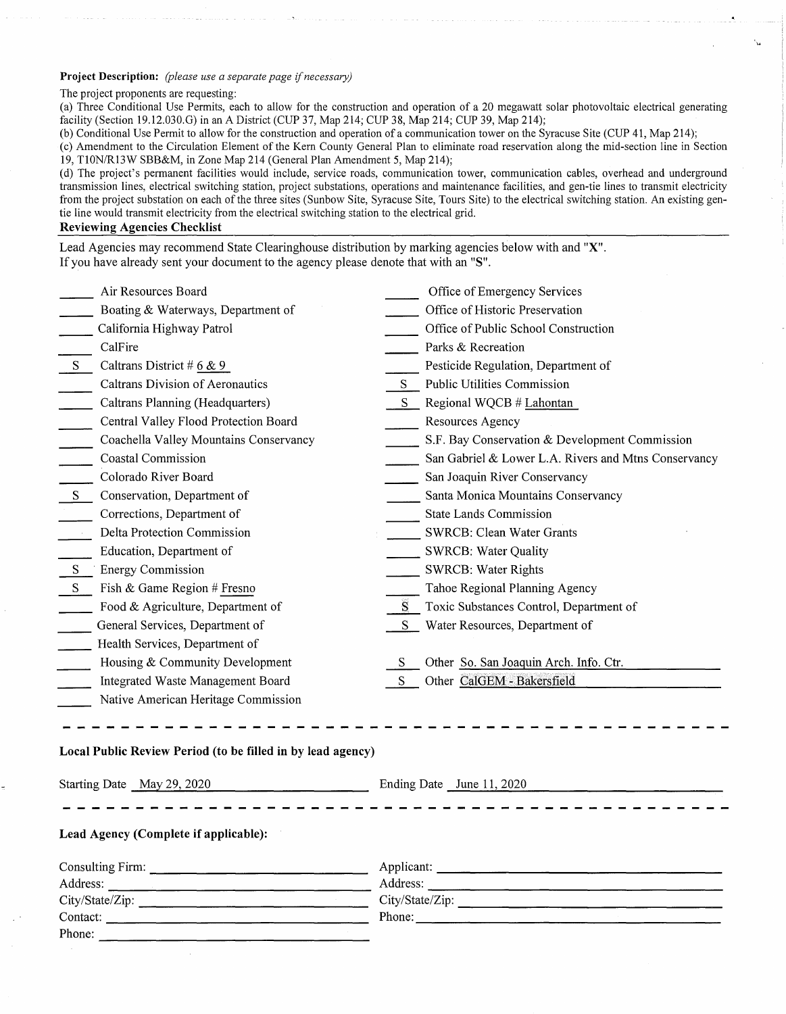### **Project Description:** *(please use a separate page if necessary)*

#### The project proponents are requesting:

(a) Three Conditional Use Permits, each to allow for the construction and operation of a 20 megawatt solar photovoltaic electrical generating facility (Section 19.12.030.G) in an A District (CUP 37, Map 214; CUP 38, Map 214; CUP 39, Map 214);

(b) Conditional Use Permit to allow for the construction and operation of a communication tower on the Syracuse Site (CUP 41, Map 214);

( c) Amendment to the Circulation Element of the Kern County General Plan to eliminate road reservation along the mid-section line in Section 19, T10N/Rl3W SBB&M, in Zone Map 214 (General Plan Amendment 5, Map 214);

(d) The project's permanent facilities would include, service roads, communication tower, communication cables, overhead and underground transmission lines, electrical switching station, project substations, operations and maintenance facilities, and gen-tie lines to transmit electricity from the project substation on each of the three sites (Sunbow Site, Syracuse Site, Tours Site) to the electrical switching station. An existing gentie line would transmit electricity from the electrical switching station to the electrical grid.

# **Reviewing Agencies Checklist**

Lead Agencies may recommend State Clearinghouse distribution by marking agencies below with and **"X".**  If you have already sent your document to the agency please denote that with an **"S".** 

|              | Air Resources Board                     |    | Office of Emergency Services                         |
|--------------|-----------------------------------------|----|------------------------------------------------------|
|              | Boating & Waterways, Department of      |    | Office of Historic Preservation                      |
|              | California Highway Patrol               |    | Office of Public School Construction                 |
|              | CalFire                                 |    | Parks & Recreation                                   |
| <sub>S</sub> | Caltrans District # $6 \& 9$            |    | Pesticide Regulation, Department of                  |
|              | <b>Caltrans Division of Aeronautics</b> |    | Public Utilities Commission                          |
|              | Caltrans Planning (Headquarters)        |    | Regional WQCB # Lahontan                             |
|              | Central Valley Flood Protection Board   |    | Resources Agency                                     |
|              | Coachella Valley Mountains Conservancy  |    | S.F. Bay Conservation & Development Commission       |
|              | Coastal Commission                      |    | San Gabriel & Lower L.A. Rivers and Mtns Conservancy |
|              | Colorado River Board                    |    | San Joaquin River Conservancy                        |
| S            | Conservation, Department of             |    | Santa Monica Mountains Conservancy                   |
|              | Corrections, Department of              |    | <b>State Lands Commission</b>                        |
|              | Delta Protection Commission             |    | SWRCB: Clean Water Grants                            |
|              | Education, Department of                |    | <b>SWRCB: Water Quality</b>                          |
| S.           | <b>Energy Commission</b>                |    | <b>SWRCB: Water Rights</b>                           |
| S            | Fish & Game Region # Fresno             |    | Tahoe Regional Planning Agency                       |
|              | Food & Agriculture, Department of       |    | Toxic Substances Control, Department of              |
|              | General Services, Department of         | S. | Water Resources, Department of                       |
|              | Health Services, Department of          |    |                                                      |
|              | Housing & Community Development         | S  | Other So. San Joaquin Arch. Info. Ctr.               |
|              | Integrated Waste Management Board       | S  | Other CalGEM - Bakersfield                           |
|              | Native American Heritage Commission     |    |                                                      |

### **Local Public Review Period (to be filled in by lead agency)**

| Starting Date May 29, 2020            | Ending Date June 11, 2020 |  |  |  |
|---------------------------------------|---------------------------|--|--|--|
|                                       |                           |  |  |  |
| Lead Agency (Complete if applicable): |                           |  |  |  |
|                                       |                           |  |  |  |
|                                       | Address:                  |  |  |  |
|                                       | City/State/Zip:           |  |  |  |
|                                       | Phone:                    |  |  |  |
| Phone:                                |                           |  |  |  |
|                                       |                           |  |  |  |